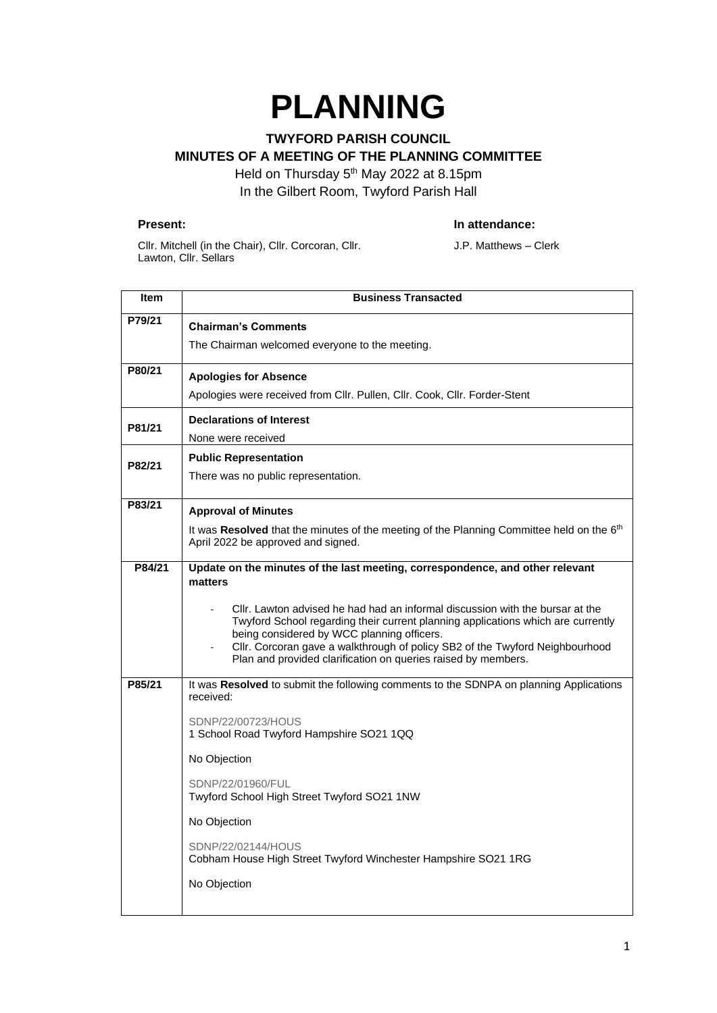# **PLANNING**

## **TWYFORD PARISH COUNCIL MINUTES OF A MEETING OF THE PLANNING COMMITTEE**

Held on Thursday 5<sup>th</sup> May 2022 at 8.15pm In the Gilbert Room, Twyford Parish Hall

#### **Present: In attendance:**

Cllr. Mitchell (in the Chair), Cllr. Corcoran, Cllr. Lawton, Cllr. Sellars

J.P. Matthews – Clerk

| Item   | <b>Business Transacted</b>                                                                                                                                                                                                                                                                                                                                       |
|--------|------------------------------------------------------------------------------------------------------------------------------------------------------------------------------------------------------------------------------------------------------------------------------------------------------------------------------------------------------------------|
| P79/21 | <b>Chairman's Comments</b>                                                                                                                                                                                                                                                                                                                                       |
|        | The Chairman welcomed everyone to the meeting.                                                                                                                                                                                                                                                                                                                   |
| P80/21 | <b>Apologies for Absence</b>                                                                                                                                                                                                                                                                                                                                     |
|        | Apologies were received from Cllr. Pullen, Cllr. Cook, Cllr. Forder-Stent                                                                                                                                                                                                                                                                                        |
| P81/21 | <b>Declarations of Interest</b>                                                                                                                                                                                                                                                                                                                                  |
|        | None were received                                                                                                                                                                                                                                                                                                                                               |
| P82/21 | <b>Public Representation</b>                                                                                                                                                                                                                                                                                                                                     |
|        | There was no public representation.                                                                                                                                                                                                                                                                                                                              |
| P83/21 | <b>Approval of Minutes</b>                                                                                                                                                                                                                                                                                                                                       |
|        | It was Resolved that the minutes of the meeting of the Planning Committee held on the 6 <sup>th</sup><br>April 2022 be approved and signed.                                                                                                                                                                                                                      |
| P84/21 | Update on the minutes of the last meeting, correspondence, and other relevant                                                                                                                                                                                                                                                                                    |
|        | matters                                                                                                                                                                                                                                                                                                                                                          |
|        | CIIr. Lawton advised he had had an informal discussion with the bursar at the<br>Twyford School regarding their current planning applications which are currently<br>being considered by WCC planning officers.<br>Cllr. Corcoran gave a walkthrough of policy SB2 of the Twyford Neighbourhood<br>Plan and provided clarification on queries raised by members. |
| P85/21 | It was Resolved to submit the following comments to the SDNPA on planning Applications<br>received:                                                                                                                                                                                                                                                              |
|        | SDNP/22/00723/HOUS<br>1 School Road Twyford Hampshire SO21 1QQ                                                                                                                                                                                                                                                                                                   |
|        | No Objection                                                                                                                                                                                                                                                                                                                                                     |
|        | SDNP/22/01960/FUL<br>Twyford School High Street Twyford SO21 1NW                                                                                                                                                                                                                                                                                                 |
|        | No Objection                                                                                                                                                                                                                                                                                                                                                     |
|        | SDNP/22/02144/HOUS<br>Cobham House High Street Twyford Winchester Hampshire SO21 1RG                                                                                                                                                                                                                                                                             |
|        | No Objection                                                                                                                                                                                                                                                                                                                                                     |
|        |                                                                                                                                                                                                                                                                                                                                                                  |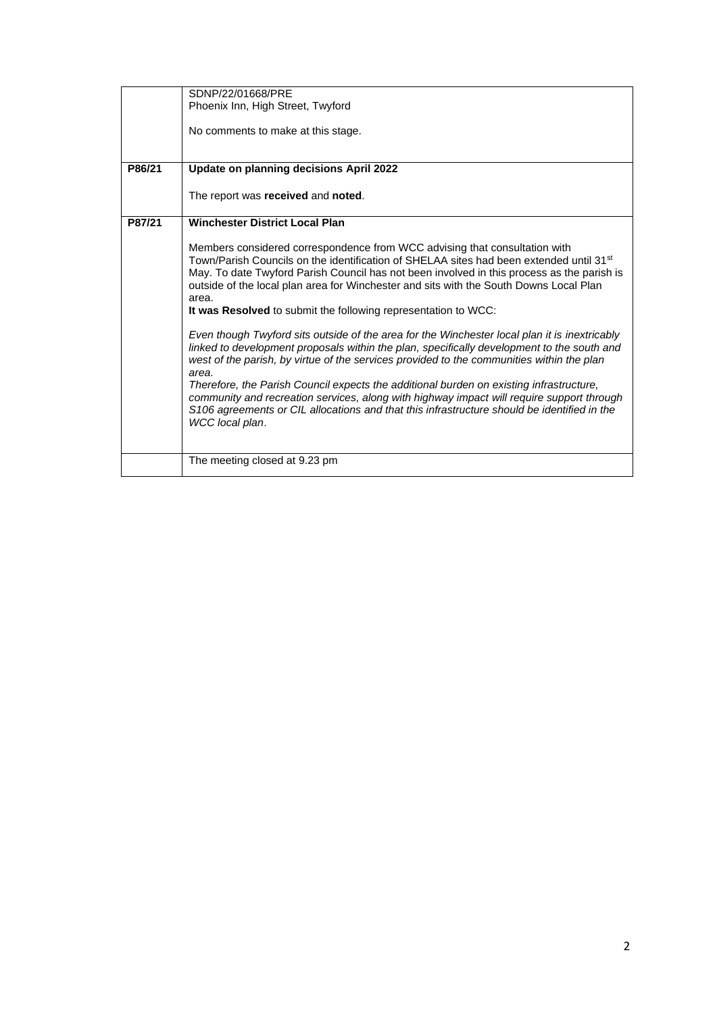|        | SDNP/22/01668/PRE                                                                                   |
|--------|-----------------------------------------------------------------------------------------------------|
|        | Phoenix Inn, High Street, Twyford                                                                   |
|        |                                                                                                     |
|        | No comments to make at this stage.                                                                  |
|        |                                                                                                     |
|        |                                                                                                     |
|        |                                                                                                     |
| P86/21 | Update on planning decisions April 2022                                                             |
|        |                                                                                                     |
|        | The report was received and noted.                                                                  |
|        |                                                                                                     |
| P87/21 | <b>Winchester District Local Plan</b>                                                               |
|        |                                                                                                     |
|        | Members considered correspondence from WCC advising that consultation with                          |
|        |                                                                                                     |
|        | Town/Parish Councils on the identification of SHELAA sites had been extended until 31 <sup>st</sup> |
|        | May. To date Twyford Parish Council has not been involved in this process as the parish is          |
|        | outside of the local plan area for Winchester and sits with the South Downs Local Plan              |
|        | area.                                                                                               |
|        | It was Resolved to submit the following representation to WCC:                                      |
|        |                                                                                                     |
|        | Even though Twyford sits outside of the area for the Winchester local plan it is inextricably       |
|        | linked to development proposals within the plan, specifically development to the south and          |
|        | west of the parish, by virtue of the services provided to the communities within the plan           |
|        | area.                                                                                               |
|        | Therefore, the Parish Council expects the additional burden on existing infrastructure,             |
|        | community and recreation services, along with highway impact will require support through           |
|        |                                                                                                     |
|        | S106 agreements or CIL allocations and that this infrastructure should be identified in the         |
|        | WCC local plan.                                                                                     |
|        |                                                                                                     |
|        |                                                                                                     |
|        | The meeting closed at 9.23 pm                                                                       |
|        |                                                                                                     |